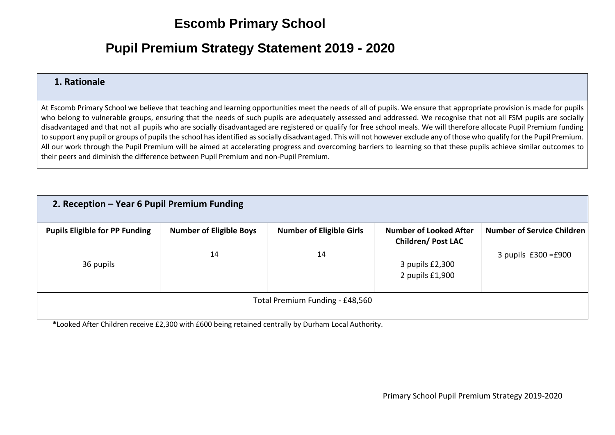## **Escomb Primary School**

## **Pupil Premium Strategy Statement 2019 - 2020**

## **1. Rationale**

At Escomb Primary School we believe that teaching and learning opportunities meet the needs of all of pupils. We ensure that appropriate provision is made for pupils who belong to vulnerable groups, ensuring that the needs of such pupils are adequately assessed and addressed. We recognise that not all FSM pupils are socially disadvantaged and that not all pupils who are socially disadvantaged are registered or qualify for free school meals. We will therefore allocate Pupil Premium funding to support any pupil or groups of pupils the school has identified as socially disadvantaged. This will not however exclude any of those who qualify for the Pupil Premium. All our work through the Pupil Premium will be aimed at accelerating progress and overcoming barriers to learning so that these pupils achieve similar outcomes to their peers and diminish the difference between Pupil Premium and non-Pupil Premium.

| 2. Reception - Year 6 Pupil Premium Funding |                                |                                 |                                                            |                                   |
|---------------------------------------------|--------------------------------|---------------------------------|------------------------------------------------------------|-----------------------------------|
| <b>Pupils Eligible for PP Funding</b>       | <b>Number of Eligible Boys</b> | <b>Number of Eligible Girls</b> | <b>Number of Looked After</b><br><b>Children/ Post LAC</b> | <b>Number of Service Children</b> |
| 36 pupils                                   | 14                             | 14                              | 3 pupils £2,300<br>2 pupils £1,900                         | 3 pupils $£300 = £900$            |
|                                             |                                | Total Premium Funding - £48,560 |                                                            |                                   |

**\***Looked After Children receive £2,300 with £600 being retained centrally by Durham Local Authority.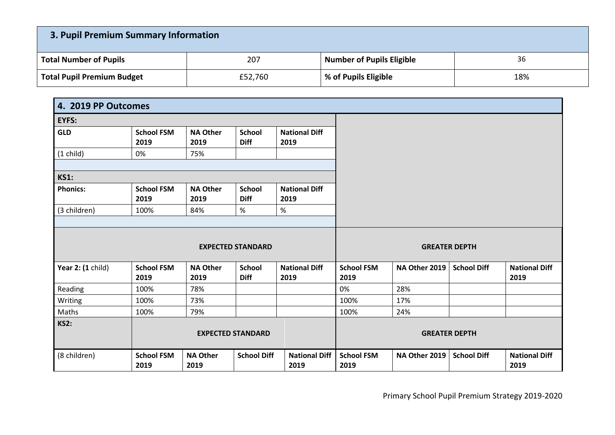| 3. Pupil Premium Summary Information |         |                           |     |  |  |  |
|--------------------------------------|---------|---------------------------|-----|--|--|--|
| <b>Total Number of Pupils</b>        | 207     | Number of Pupils Eligible | 36  |  |  |  |
| <b>Total Pupil Premium Budget</b>    | £52,760 | % of Pupils Eligible      | 18% |  |  |  |

| 4. 2019 PP Outcomes |                           |                         |                              |                              |                           |               |                      |                              |
|---------------------|---------------------------|-------------------------|------------------------------|------------------------------|---------------------------|---------------|----------------------|------------------------------|
| EYFS:               |                           |                         |                              |                              |                           |               |                      |                              |
| <b>GLD</b>          | <b>School FSM</b><br>2019 | <b>NA Other</b><br>2019 | <b>School</b><br><b>Diff</b> | <b>National Diff</b><br>2019 |                           |               |                      |                              |
| $(1$ child)         | 0%                        | 75%                     |                              |                              |                           |               |                      |                              |
| <b>KS1:</b>         |                           |                         |                              |                              |                           |               |                      |                              |
| <b>Phonics:</b>     | <b>School FSM</b><br>2019 | <b>NA Other</b><br>2019 | <b>School</b><br><b>Diff</b> | <b>National Diff</b><br>2019 |                           |               |                      |                              |
| (3 children)        | 100%                      | 84%                     | %                            | %                            |                           |               |                      |                              |
|                     |                           |                         | <b>EXPECTED STANDARD</b>     |                              |                           |               | <b>GREATER DEPTH</b> |                              |
| Year 2: (1 child)   | <b>School FSM</b><br>2019 | <b>NA Other</b><br>2019 | <b>School</b><br><b>Diff</b> | <b>National Diff</b><br>2019 | <b>School FSM</b><br>2019 | NA Other 2019 | <b>School Diff</b>   | <b>National Diff</b><br>2019 |
| Reading             | 100%                      | 78%                     |                              |                              | 0%                        | 28%           |                      |                              |
| Writing             | 100%                      | 73%                     |                              |                              | 100%                      | 17%           |                      |                              |
| Maths               | 100%                      | 79%                     |                              |                              | 100%                      | 24%           |                      |                              |
| <b>KS2:</b>         |                           |                         | <b>EXPECTED STANDARD</b>     |                              |                           |               | <b>GREATER DEPTH</b> |                              |
| (8 children)        | <b>School FSM</b><br>2019 | <b>NA Other</b><br>2019 | <b>School Diff</b>           | <b>National Diff</b><br>2019 | <b>School FSM</b><br>2019 | NA Other 2019 | <b>School Diff</b>   | <b>National Diff</b><br>2019 |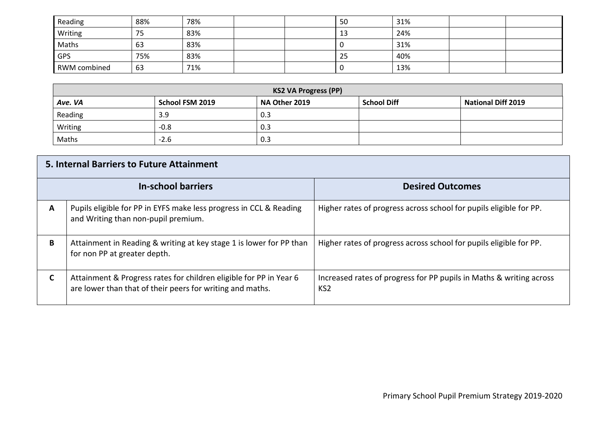| Reading             | 88% | 78% |  | -50 | 31% |  |
|---------------------|-----|-----|--|-----|-----|--|
| Writing             | 75  | 83% |  | 13  | 24% |  |
| Maths               | 63  | 83% |  |     | 31% |  |
| GPS                 | 75% | 83% |  | 25  | 40% |  |
| <b>RWM</b> combined | 63  | 71% |  |     | 13% |  |

| <b>KS2 VA Progress (PP)</b> |                 |               |                    |                           |  |  |
|-----------------------------|-----------------|---------------|--------------------|---------------------------|--|--|
| Ave. VA                     | School FSM 2019 | NA Other 2019 | <b>School Diff</b> | <b>National Diff 2019</b> |  |  |
| Reading                     | 3.9             | 0.3           |                    |                           |  |  |
| Writing                     | $-0.8$          | 0.3           |                    |                           |  |  |
| Maths                       | $-2.6$          | 0.3           |                    |                           |  |  |

|                           | <b>5. Internal Barriers to Future Attainment</b>                                                                                |                                                                                        |
|---------------------------|---------------------------------------------------------------------------------------------------------------------------------|----------------------------------------------------------------------------------------|
| <b>In-school barriers</b> |                                                                                                                                 | <b>Desired Outcomes</b>                                                                |
| A                         | Pupils eligible for PP in EYFS make less progress in CCL & Reading<br>and Writing than non-pupil premium.                       | Higher rates of progress across school for pupils eligible for PP.                     |
| B                         | Attainment in Reading & writing at key stage 1 is lower for PP than<br>for non PP at greater depth.                             | Higher rates of progress across school for pupils eligible for PP.                     |
|                           | Attainment & Progress rates for children eligible for PP in Year 6<br>are lower than that of their peers for writing and maths. | Increased rates of progress for PP pupils in Maths & writing across<br>KS <sub>2</sub> |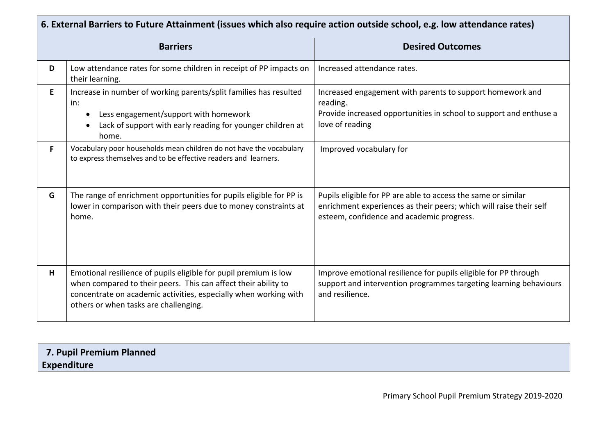|    | 6. External Barriers to Future Attainment (issues which also require action outside school, e.g. low attendance rates)                                                                                                                          |                                                                                                                                                                                  |  |  |  |  |
|----|-------------------------------------------------------------------------------------------------------------------------------------------------------------------------------------------------------------------------------------------------|----------------------------------------------------------------------------------------------------------------------------------------------------------------------------------|--|--|--|--|
|    | <b>Barriers</b>                                                                                                                                                                                                                                 | <b>Desired Outcomes</b>                                                                                                                                                          |  |  |  |  |
| D  | Low attendance rates for some children in receipt of PP impacts on<br>their learning.                                                                                                                                                           | Increased attendance rates.                                                                                                                                                      |  |  |  |  |
| E. | Increase in number of working parents/split families has resulted<br>in:<br>Less engagement/support with homework<br>Lack of support with early reading for younger children at<br>$\bullet$<br>home.                                           | Increased engagement with parents to support homework and<br>reading.<br>Provide increased opportunities in school to support and enthuse a<br>love of reading                   |  |  |  |  |
| F  | Vocabulary poor households mean children do not have the vocabulary<br>to express themselves and to be effective readers and learners.                                                                                                          | Improved vocabulary for                                                                                                                                                          |  |  |  |  |
| G  | The range of enrichment opportunities for pupils eligible for PP is<br>lower in comparison with their peers due to money constraints at<br>home.                                                                                                | Pupils eligible for PP are able to access the same or similar<br>enrichment experiences as their peers; which will raise their self<br>esteem, confidence and academic progress. |  |  |  |  |
| H  | Emotional resilience of pupils eligible for pupil premium is low<br>when compared to their peers. This can affect their ability to<br>concentrate on academic activities, especially when working with<br>others or when tasks are challenging. | Improve emotional resilience for pupils eligible for PP through<br>support and intervention programmes targeting learning behaviours<br>and resilience.                          |  |  |  |  |

| 7. Pupil Premium Planned |  |
|--------------------------|--|
| <b>Expenditure</b>       |  |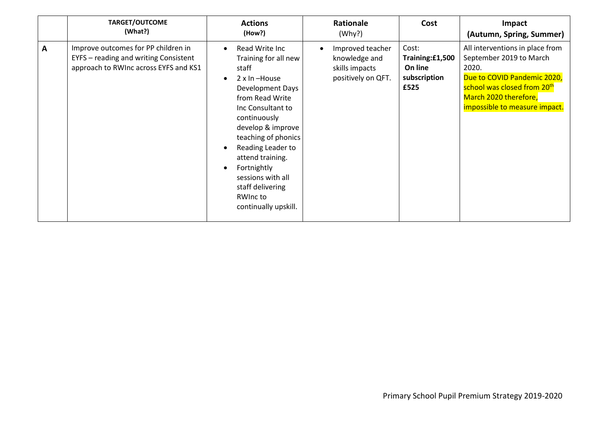|   | <b>TARGET/OUTCOME</b><br>(What?)                                                                                      | <b>Actions</b><br>(How?)                                                                                                                                                                                                                                                                                                                                                    | Rationale<br>(Why?)                                                       | Cost                                                        | Impact<br>(Autumn, Spring, Summer)                                                                                                                                                                      |
|---|-----------------------------------------------------------------------------------------------------------------------|-----------------------------------------------------------------------------------------------------------------------------------------------------------------------------------------------------------------------------------------------------------------------------------------------------------------------------------------------------------------------------|---------------------------------------------------------------------------|-------------------------------------------------------------|---------------------------------------------------------------------------------------------------------------------------------------------------------------------------------------------------------|
| A | Improve outcomes for PP children in<br>EYFS - reading and writing Consistent<br>approach to RWInc across EYFS and KS1 | Read Write Inc<br>$\bullet$<br>Training for all new<br>staff<br>$2 \times In$ -House<br>$\bullet$<br>Development Days<br>from Read Write<br>Inc Consultant to<br>continuously<br>develop & improve<br>teaching of phonics<br>Reading Leader to<br>$\bullet$<br>attend training.<br>Fortnightly<br>sessions with all<br>staff delivering<br>RWInc to<br>continually upskill. | Improved teacher<br>knowledge and<br>skills impacts<br>positively on QFT. | Cost:<br>Training:£1,500<br>On line<br>subscription<br>£525 | All interventions in place from<br>September 2019 to March<br>2020.<br>Due to COVID Pandemic 2020,<br>school was closed from 20 <sup>th</sup><br>March 2020 therefore,<br>impossible to measure impact. |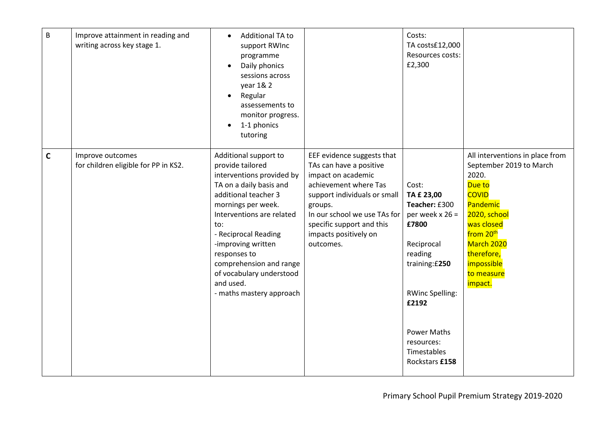| B           | Improve attainment in reading and<br>writing across key stage 1. | Additional TA to<br>$\bullet$<br>support RWInc<br>programme<br>Daily phonics<br>$\bullet$<br>sessions across<br>year 1& 2<br>Regular<br>$\bullet$<br>assessements to<br>monitor progress.<br>1-1 phonics<br>$\bullet$<br>tutoring                                                                                                                 |                                                                                                                                                                                                                                                    | Costs:<br>TA costs£12,000<br>Resources costs:<br>£2,300                                                                                                                                                               |                                                                                                                                                                                                                                     |
|-------------|------------------------------------------------------------------|---------------------------------------------------------------------------------------------------------------------------------------------------------------------------------------------------------------------------------------------------------------------------------------------------------------------------------------------------|----------------------------------------------------------------------------------------------------------------------------------------------------------------------------------------------------------------------------------------------------|-----------------------------------------------------------------------------------------------------------------------------------------------------------------------------------------------------------------------|-------------------------------------------------------------------------------------------------------------------------------------------------------------------------------------------------------------------------------------|
| $\mathbf C$ | Improve outcomes<br>for children eligible for PP in KS2.         | Additional support to<br>provide tailored<br>interventions provided by<br>TA on a daily basis and<br>additional teacher 3<br>mornings per week.<br>Interventions are related<br>to:<br>- Reciprocal Reading<br>-improving written<br>responses to<br>comprehension and range<br>of vocabulary understood<br>and used.<br>- maths mastery approach | EEF evidence suggests that<br>TAs can have a positive<br>impact on academic<br>achievement where Tas<br>support individuals or small<br>groups.<br>In our school we use TAs for<br>specific support and this<br>impacts positively on<br>outcomes. | Cost:<br>TA £ 23,00<br>Teacher: £300<br>per week $x 26 =$<br>£7800<br>Reciprocal<br>reading<br>training: £250<br><b>RWinc Spelling:</b><br>£2192<br><b>Power Maths</b><br>resources:<br>Timestables<br>Rockstars £158 | All interventions in place from<br>September 2019 to March<br>2020.<br>Due to<br><b>COVID</b><br>Pandemic<br>2020, school<br>was closed<br>from 20 <sup>th</sup><br>March 2020<br>therefore,<br>impossible<br>to measure<br>impact. |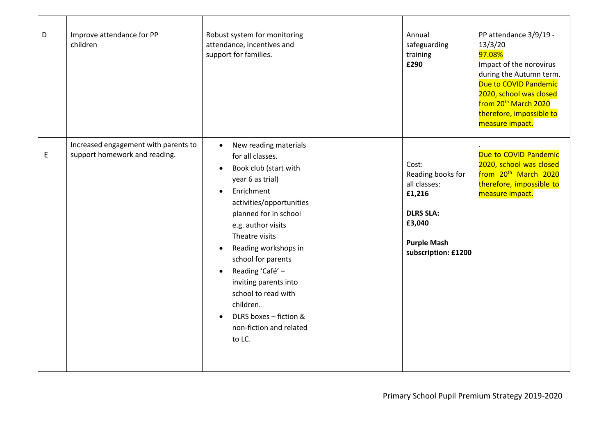| $\mathsf D$ | Improve attendance for PP<br>children                                 | Robust system for monitoring<br>attendance, incentives and<br>support for families.                                                                                                                                                                                                                                                                                                                                                                 | Annual<br>safeguarding<br>training<br>£290                                                                                      | PP attendance 3/9/19 -<br>13/3/20<br>97.08%<br>Impact of the norovirus<br>during the Autumn term.<br>Due to COVID Pandemic<br>2020, school was closed<br>from 20 <sup>th</sup> March 2020<br>therefore, impossible to<br>measure impact. |
|-------------|-----------------------------------------------------------------------|-----------------------------------------------------------------------------------------------------------------------------------------------------------------------------------------------------------------------------------------------------------------------------------------------------------------------------------------------------------------------------------------------------------------------------------------------------|---------------------------------------------------------------------------------------------------------------------------------|------------------------------------------------------------------------------------------------------------------------------------------------------------------------------------------------------------------------------------------|
| E           | Increased engagement with parents to<br>support homework and reading. | New reading materials<br>for all classes.<br>Book club (start with<br>$\bullet$<br>year 6 as trial)<br>Enrichment<br>$\bullet$<br>activities/opportunities<br>planned for in school<br>e.g. author visits<br>Theatre visits<br>Reading workshops in<br>$\bullet$<br>school for parents<br>Reading 'Café' -<br>$\bullet$<br>inviting parents into<br>school to read with<br>children.<br>DLRS boxes - fiction &<br>non-fiction and related<br>to LC. | Cost:<br>Reading books for<br>all classes:<br>£1,216<br><b>DLRS SLA:</b><br>£3,040<br><b>Purple Mash</b><br>subscription: £1200 | Due to COVID Pandemic<br>2020, school was closed<br>from 20 <sup>th</sup> March 2020<br>therefore, impossible to<br>measure impact.                                                                                                      |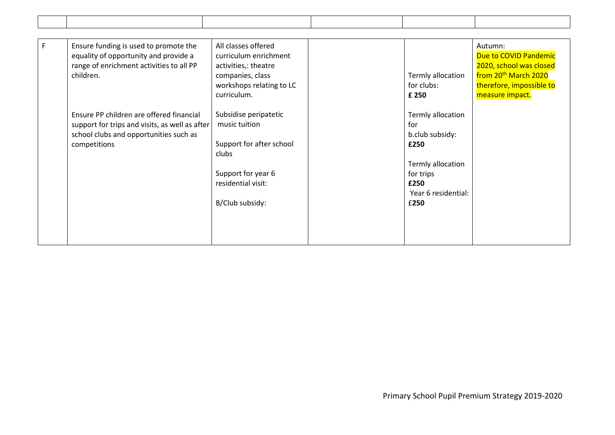| F. | Ensure funding is used to promote the<br>equality of opportunity and provide a<br>range of enrichment activities to all PP<br>children.              | All classes offered<br>curriculum enrichment<br>activities,: theatre<br>companies, class<br>workshops relating to LC<br>curriculum. | Termly allocation<br>for clubs:<br>£ 250                                 | Autumn:<br>Due to COVID Pandemic<br>2020, school was closed<br>from 20 <sup>th</sup> March 2020<br>therefore, impossible to<br>measure impact. |
|----|------------------------------------------------------------------------------------------------------------------------------------------------------|-------------------------------------------------------------------------------------------------------------------------------------|--------------------------------------------------------------------------|------------------------------------------------------------------------------------------------------------------------------------------------|
|    | Ensure PP children are offered financial<br>support for trips and visits, as well as after<br>school clubs and opportunities such as<br>competitions | Subsidise peripatetic<br>music tuition<br>Support for after school<br>clubs                                                         | Termly allocation<br>for<br>b.club subsidy:<br>£250<br>Termly allocation |                                                                                                                                                |
|    |                                                                                                                                                      | Support for year 6<br>residential visit:<br>B/Club subsidy:                                                                         | for trips<br>£250<br>Year 6 residential:<br>£250                         |                                                                                                                                                |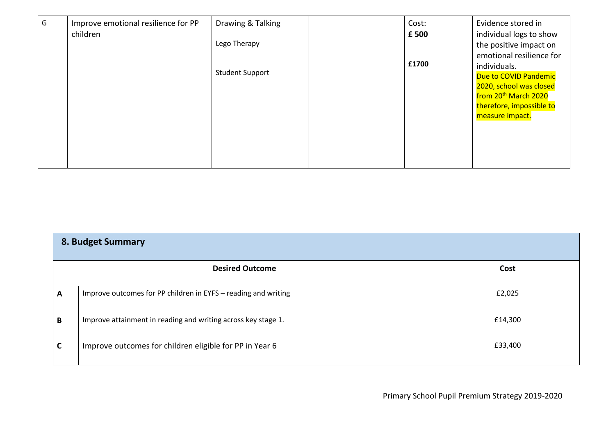| G | Improve emotional resilience for PP<br>children | Drawing & Talking<br>Lego Therapy | Cost:<br>£500 | Evidence stored in<br>individual logs to show<br>the positive impact on<br>emotional resilience for                                                        |
|---|-------------------------------------------------|-----------------------------------|---------------|------------------------------------------------------------------------------------------------------------------------------------------------------------|
|   |                                                 | <b>Student Support</b>            | £1700         | individuals.<br><b>Due to COVID Pandemic</b><br>2020, school was closed<br>from 20 <sup>th</sup> March 2020<br>therefore, impossible to<br>measure impact. |

| 8. Budget Summary |                                                                |         |
|-------------------|----------------------------------------------------------------|---------|
|                   | <b>Desired Outcome</b>                                         | Cost    |
| A                 | Improve outcomes for PP children in EYFS - reading and writing | £2,025  |
| B                 | Improve attainment in reading and writing across key stage 1.  | £14,300 |
|                   | Improve outcomes for children eligible for PP in Year 6        | £33,400 |